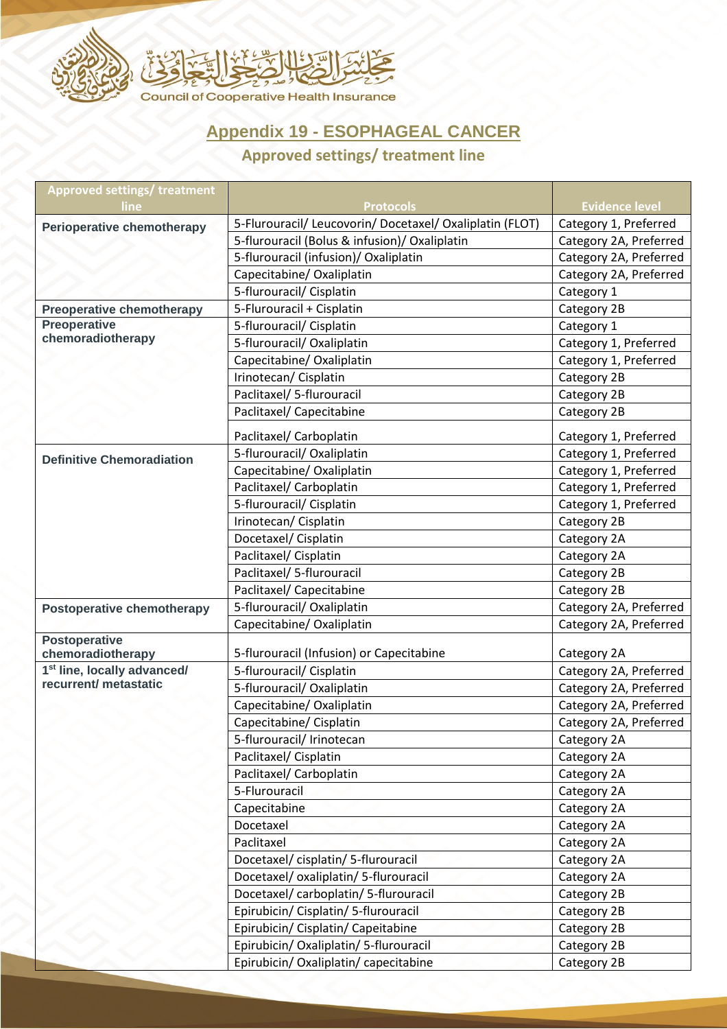

## **Appendix 19 - ESOPHAGEAL CANCER**

## **Approved settings/ treatment line**

| <b>Approved settings/ treatment</b><br>line | <b>Protocols</b>                                         | <b>Evidence level</b>  |
|---------------------------------------------|----------------------------------------------------------|------------------------|
| <b>Perioperative chemotherapy</b>           | 5-Flurouracil/ Leucovorin/ Docetaxel/ Oxaliplatin (FLOT) | Category 1, Preferred  |
|                                             | 5-flurouracil (Bolus & infusion)/ Oxaliplatin            | Category 2A, Preferred |
|                                             | 5-flurouracil (infusion)/ Oxaliplatin                    | Category 2A, Preferred |
|                                             | Capecitabine/ Oxaliplatin                                | Category 2A, Preferred |
|                                             | 5-flurouracil/ Cisplatin                                 | Category 1             |
| <b>Preoperative chemotherapy</b>            | 5-Flurouracil + Cisplatin                                | Category 2B            |
| <b>Preoperative</b><br>chemoradiotherapy    | 5-flurouracil/ Cisplatin                                 | Category 1             |
|                                             | 5-flurouracil/ Oxaliplatin                               | Category 1, Preferred  |
|                                             | Capecitabine/ Oxaliplatin                                | Category 1, Preferred  |
|                                             | Irinotecan/ Cisplatin                                    | Category 2B            |
|                                             | Paclitaxel/ 5-flurouracil                                | Category 2B            |
|                                             | Paclitaxel/ Capecitabine                                 | Category 2B            |
|                                             | Paclitaxel/ Carboplatin                                  | Category 1, Preferred  |
| <b>Definitive Chemoradiation</b>            | 5-flurouracil/ Oxaliplatin                               | Category 1, Preferred  |
|                                             | Capecitabine/ Oxaliplatin                                | Category 1, Preferred  |
|                                             | Paclitaxel/ Carboplatin                                  | Category 1, Preferred  |
|                                             | 5-flurouracil/ Cisplatin                                 | Category 1, Preferred  |
|                                             | Irinotecan/ Cisplatin                                    | Category 2B            |
|                                             | Docetaxel/ Cisplatin                                     | Category 2A            |
|                                             | Paclitaxel/ Cisplatin                                    | Category 2A            |
|                                             | Paclitaxel/ 5-flurouracil                                | Category 2B            |
|                                             | Paclitaxel/ Capecitabine                                 | Category 2B            |
| <b>Postoperative chemotherapy</b>           | 5-flurouracil/ Oxaliplatin                               | Category 2A, Preferred |
|                                             | Capecitabine/ Oxaliplatin                                | Category 2A, Preferred |
| <b>Postoperative</b><br>chemoradiotherapy   | 5-flurouracil (Infusion) or Capecitabine                 | Category 2A            |
| 1 <sup>st</sup> line, locally advanced/     | 5-flurouracil/ Cisplatin                                 | Category 2A, Preferred |
| recurrent/ metastatic                       | 5-flurouracil/ Oxaliplatin                               | Category 2A, Preferred |
|                                             | Capecitabine/ Oxaliplatin                                | Category 2A, Preferred |
|                                             | Capecitabine/ Cisplatin                                  | Category 2A, Preferred |
|                                             | 5-flurouracil/ Irinotecan                                | Category 2A            |
|                                             | Paclitaxel/ Cisplatin                                    | Category 2A            |
|                                             | Paclitaxel/ Carboplatin                                  | Category 2A            |
|                                             | 5-Flurouracil                                            | Category 2A            |
|                                             | Capecitabine                                             | Category 2A            |
|                                             | Docetaxel                                                | Category 2A            |
|                                             | Paclitaxel                                               | Category 2A            |
|                                             | Docetaxel/cisplatin/5-flurouracil                        | Category 2A            |
|                                             | Docetaxel/oxaliplatin/5-flurouracil                      | Category 2A            |
|                                             | Docetaxel/carboplatin/5-flurouracil                      | Category 2B            |
|                                             | Epirubicin/ Cisplatin/ 5-flurouracil                     | Category 2B            |
|                                             | Epirubicin/ Cisplatin/ Capeitabine                       | Category 2B            |
|                                             | Epirubicin/ Oxaliplatin/ 5-flurouracil                   | Category 2B            |
|                                             | Epirubicin/ Oxaliplatin/ capecitabine                    | Category 2B            |